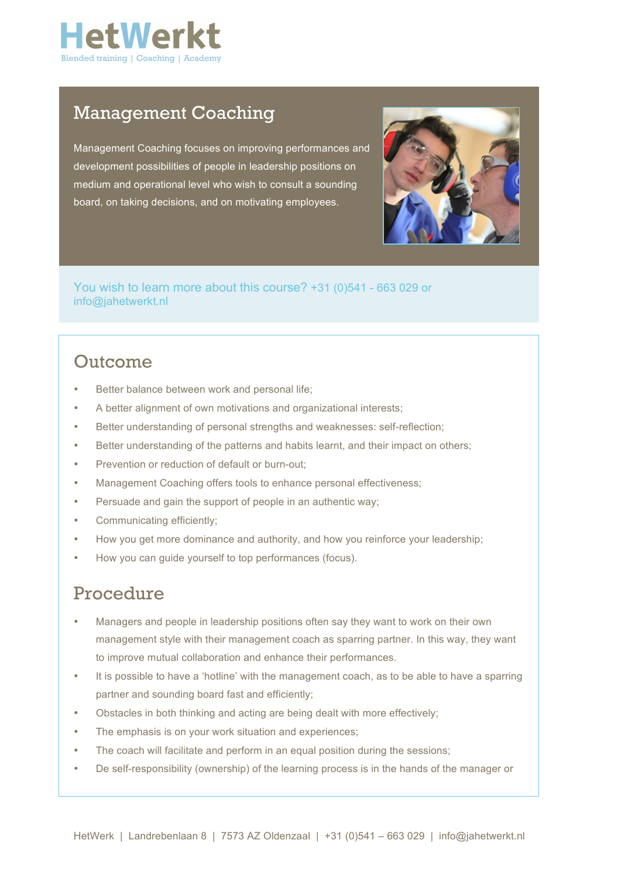

### Management Coaching

Management Coaching focuses on improving performances and development possibilities of people in leadership positions on medium and operational level who wish to consult a sounding board, on taking decisions, and on motivating employees.



You wish to learn more about this course? +31 (0)541 - 663 029 or info@jahetwerkt.nl

## Outcome

- Better balance between work and personal life;
- A better alignment of own motivations and organizational interests;
- Better understanding of personal strengths and weaknesses: self-reflection;
- Better understanding of the patterns and habits learnt, and their impact on others;
- Prevention or reduction of default or burn-out;
- Management Coaching offers tools to enhance personal effectiveness;
- Persuade and gain the support of people in an authentic way;
- Communicating efficiently;
- How you get more dominance and authority, and how you reinforce your leadership;
- How you can guide yourself to top performances (focus).

#### Procedure

- Managers and people in leadership positions often say they want to work on their own management style with their management coach as sparring partner. In this way, they want to improve mutual collaboration and enhance their performances.
- It is possible to have a 'hotline' with the management coach, as to be able to have a sparring partner and sounding board fast and efficiently;
- Obstacles in both thinking and acting are being dealt with more effectively;
- The emphasis is on your work situation and experiences;
- The coach will facilitate and perform in an equal position during the sessions:
- De self-responsibility (ownership) of the learning process is in the hands of the manager or